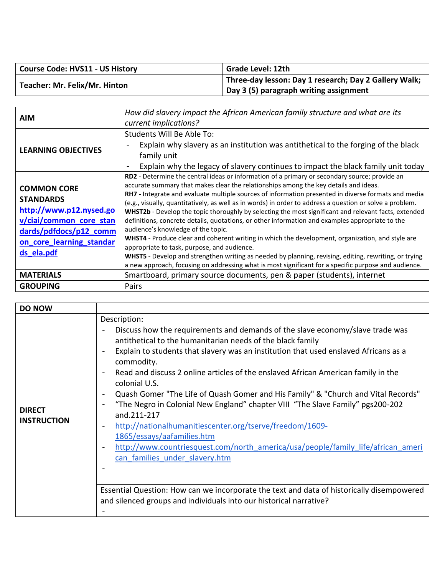| <b>Course Code: HVS11 - US History</b> | <b>Grade Level: 12th</b>                              |
|----------------------------------------|-------------------------------------------------------|
| Teacher: Mr. Felix/Mr. Hinton          | Three-day lesson: Day 1 research; Day 2 Gallery Walk; |
|                                        | Day 3 (5) paragraph writing assignment                |

| AIM                                                                                                                                                              | How did slavery impact the African American family structure and what are its<br>current implications?                                                                                                                                                                                                                                                                                                                                                                                                                                                                                                                                                                                                                                                                                                                                                                                                                                                                                                                               |
|------------------------------------------------------------------------------------------------------------------------------------------------------------------|--------------------------------------------------------------------------------------------------------------------------------------------------------------------------------------------------------------------------------------------------------------------------------------------------------------------------------------------------------------------------------------------------------------------------------------------------------------------------------------------------------------------------------------------------------------------------------------------------------------------------------------------------------------------------------------------------------------------------------------------------------------------------------------------------------------------------------------------------------------------------------------------------------------------------------------------------------------------------------------------------------------------------------------|
| <b>LEARNING OBJECTIVES</b>                                                                                                                                       | Students Will Be Able To:<br>Explain why slavery as an institution was antithetical to the forging of the black<br>family unit<br>Explain why the legacy of slavery continues to impact the black family unit today<br>$\overline{\phantom{a}}$                                                                                                                                                                                                                                                                                                                                                                                                                                                                                                                                                                                                                                                                                                                                                                                      |
| <b>COMMON CORE</b><br><b>STANDARDS</b><br>http://www.p12.nysed.go<br>v/ciai/common core stan<br>dards/pdfdocs/p12_comm<br>on core learning standar<br>ds ela.pdf | RD2 - Determine the central ideas or information of a primary or secondary source; provide an<br>accurate summary that makes clear the relationships among the key details and ideas.<br><b>RH7</b> - Integrate and evaluate multiple sources of information presented in diverse formats and media<br>(e.g., visually, quantitatively, as well as in words) in order to address a question or solve a problem.<br>WHST2b - Develop the topic thoroughly by selecting the most significant and relevant facts, extended<br>definitions, concrete details, quotations, or other information and examples appropriate to the<br>audience's knowledge of the topic.<br>WHST4 - Produce clear and coherent writing in which the development, organization, and style are<br>appropriate to task, purpose, and audience.<br>WHST5 - Develop and strengthen writing as needed by planning, revising, editing, rewriting, or trying<br>a new approach, focusing on addressing what is most significant for a specific purpose and audience. |
| <b>MATERIALS</b>                                                                                                                                                 | Smartboard, primary source documents, pen & paper (students), internet                                                                                                                                                                                                                                                                                                                                                                                                                                                                                                                                                                                                                                                                                                                                                                                                                                                                                                                                                               |
| <b>GROUPING</b>                                                                                                                                                  | Pairs                                                                                                                                                                                                                                                                                                                                                                                                                                                                                                                                                                                                                                                                                                                                                                                                                                                                                                                                                                                                                                |

| <b>DO NOW</b>                       |                                                                                                                                                                                                                                                                                                                                                                                                                                                                                                                                                                                                                                                                                                                                                                                                                                                                                              |
|-------------------------------------|----------------------------------------------------------------------------------------------------------------------------------------------------------------------------------------------------------------------------------------------------------------------------------------------------------------------------------------------------------------------------------------------------------------------------------------------------------------------------------------------------------------------------------------------------------------------------------------------------------------------------------------------------------------------------------------------------------------------------------------------------------------------------------------------------------------------------------------------------------------------------------------------|
| <b>DIRECT</b><br><b>INSTRUCTION</b> | Description:<br>Discuss how the requirements and demands of the slave economy/slave trade was<br>antithetical to the humanitarian needs of the black family<br>Explain to students that slavery was an institution that used enslaved Africans as a<br>commodity.<br>Read and discuss 2 online articles of the enslaved African American family in the<br>colonial U.S.<br>Quash Gomer "The Life of Quash Gomer and His Family" & "Church and Vital Records"<br>"The Negro in Colonial New England" chapter VIII "The Slave Family" pgs200-202<br>and.211-217<br>http://nationalhumanitiescenter.org/tserve/freedom/1609-<br>$\blacksquare$<br>1865/essays/aafamilies.htm<br>http://www.countriesquest.com/north_america/usa/people/family_life/african_ameri<br>can families under slavery.htm<br>Essential Question: How can we incorporate the text and data of historically disempowered |
|                                     | and silenced groups and individuals into our historical narrative?                                                                                                                                                                                                                                                                                                                                                                                                                                                                                                                                                                                                                                                                                                                                                                                                                           |